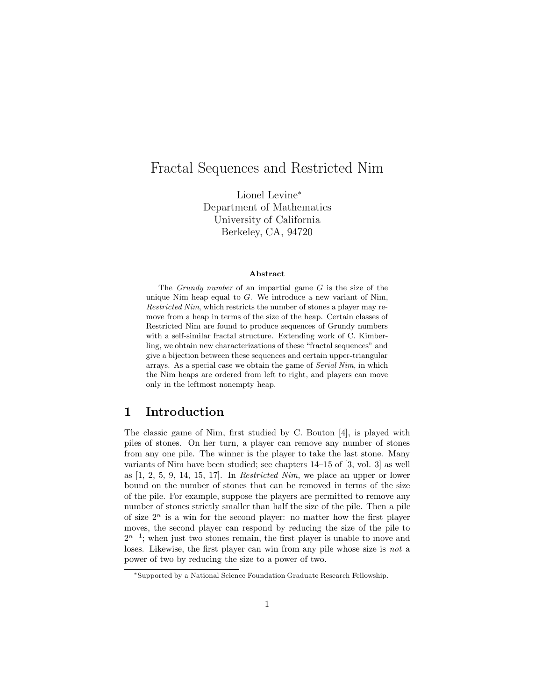# Fractal Sequences and Restricted Nim

Lionel Levine<sup>∗</sup> Department of Mathematics University of California Berkeley, CA, 94720

#### Abstract

The *Grundy number* of an impartial game  $G$  is the size of the unique Nim heap equal to  $G$ . We introduce a new variant of Nim, Restricted Nim, which restricts the number of stones a player may remove from a heap in terms of the size of the heap. Certain classes of Restricted Nim are found to produce sequences of Grundy numbers with a self-similar fractal structure. Extending work of C. Kimberling, we obtain new characterizations of these "fractal sequences" and give a bijection between these sequences and certain upper-triangular arrays. As a special case we obtain the game of Serial Nim, in which the Nim heaps are ordered from left to right, and players can move only in the leftmost nonempty heap.

# 1 Introduction

The classic game of Nim, first studied by C. Bouton [4], is played with piles of stones. On her turn, a player can remove any number of stones from any one pile. The winner is the player to take the last stone. Many variants of Nim have been studied; see chapters 14–15 of [3, vol. 3] as well as [1, 2, 5, 9, 14, 15, 17]. In Restricted Nim, we place an upper or lower bound on the number of stones that can be removed in terms of the size of the pile. For example, suppose the players are permitted to remove any number of stones strictly smaller than half the size of the pile. Then a pile of size  $2^n$  is a win for the second player: no matter how the first player moves, the second player can respond by reducing the size of the pile to  $2^{n-1}$ ; when just two stones remain, the first player is unable to move and loses. Likewise, the first player can win from any pile whose size is not a power of two by reducing the size to a power of two.

<sup>∗</sup>Supported by a National Science Foundation Graduate Research Fellowship.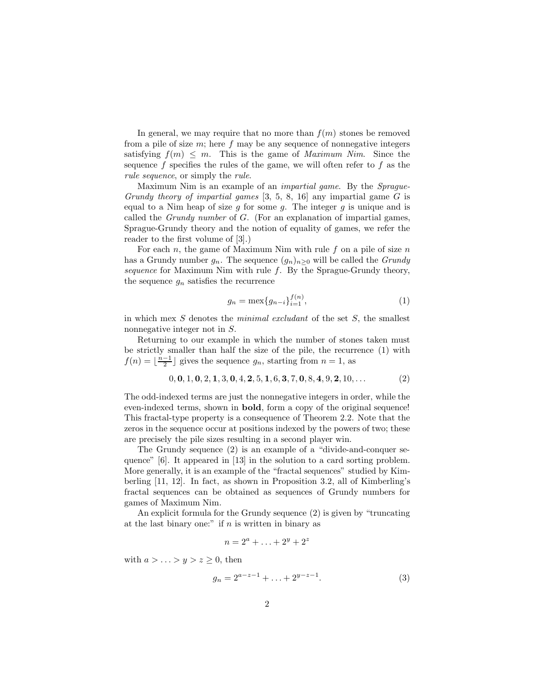In general, we may require that no more than  $f(m)$  stones be removed from a pile of size  $m$ ; here f may be any sequence of nonnegative integers satisfying  $f(m) \leq m$ . This is the game of *Maximum Nim*. Since the sequence  $f$  specifies the rules of the game, we will often refer to  $f$  as the rule sequence, or simply the rule.

Maximum Nim is an example of an impartial game. By the Sprague-Grundy theory of impartial games  $[3, 5, 8, 16]$  any impartial game G is equal to a Nim heap of size q for some q. The integer q is unique and is called the *Grundy number* of  $G$ . (For an explanation of impartial games, Sprague-Grundy theory and the notion of equality of games, we refer the reader to the first volume of [3].)

For each n, the game of Maximum Nim with rule f on a pile of size  $n$ has a Grundy number  $g_n$ . The sequence  $(g_n)_{n>0}$  will be called the *Grundy* sequence for Maximum Nim with rule  $f$ . By the Sprague-Grundy theory, the sequence  $g_n$  satisfies the recurrence

$$
g_n = \max\{g_{n-i}\}_{i=1}^{f(n)},\tag{1}
$$

in which mex  $S$  denotes the *minimal excludant* of the set  $S$ , the smallest nonnegative integer not in S.

Returning to our example in which the number of stones taken must be strictly smaller than half the size of the pile, the recurrence (1) with  $f(n) = \lfloor \frac{n-1}{2} \rfloor$  gives the sequence  $g_n$ , starting from  $n = 1$ , as

$$
0, 0, 1, 0, 2, 1, 3, 0, 4, 2, 5, 1, 6, 3, 7, 0, 8, 4, 9, 2, 10, \dots
$$
\n
$$
(2)
$$

The odd-indexed terms are just the nonnegative integers in order, while the even-indexed terms, shown in bold, form a copy of the original sequence! This fractal-type property is a consequence of Theorem 2.2. Note that the zeros in the sequence occur at positions indexed by the powers of two; these are precisely the pile sizes resulting in a second player win.

The Grundy sequence (2) is an example of a "divide-and-conquer sequence" [6]. It appeared in [13] in the solution to a card sorting problem. More generally, it is an example of the "fractal sequences" studied by Kimberling [11, 12]. In fact, as shown in Proposition 3.2, all of Kimberling's fractal sequences can be obtained as sequences of Grundy numbers for games of Maximum Nim.

An explicit formula for the Grundy sequence (2) is given by "truncating at the last binary one:" if  $n$  is written in binary as

$$
n = 2^a + \ldots + 2^y + 2^z
$$

with  $a > \ldots > y > z \geq 0$ , then

$$
g_n = 2^{a-z-1} + \ldots + 2^{y-z-1}.
$$
 (3)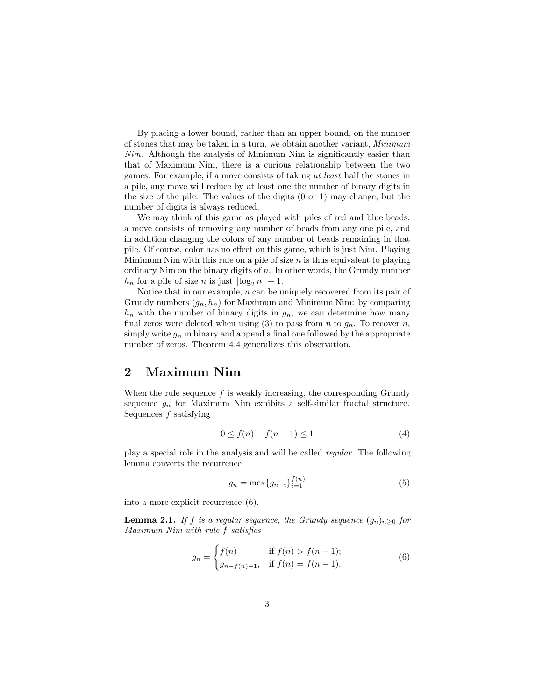By placing a lower bound, rather than an upper bound, on the number of stones that may be taken in a turn, we obtain another variant, Minimum Nim. Although the analysis of Minimum Nim is significantly easier than that of Maximum Nim, there is a curious relationship between the two games. For example, if a move consists of taking at least half the stones in a pile, any move will reduce by at least one the number of binary digits in the size of the pile. The values of the digits (0 or 1) may change, but the number of digits is always reduced.

We may think of this game as played with piles of red and blue beads: a move consists of removing any number of beads from any one pile, and in addition changing the colors of any number of beads remaining in that pile. Of course, color has no effect on this game, which is just Nim. Playing Minimum Nim with this rule on a pile of size  $n$  is thus equivalent to playing ordinary Nim on the binary digits of  $n$ . In other words, the Grundy number  $h_n$  for a pile of size n is just  $\lfloor \log_2 n \rfloor + 1$ .

Notice that in our example,  $n$  can be uniquely recovered from its pair of Grundy numbers  $(q_n, h_n)$  for Maximum and Minimum Nim: by comparing  $h_n$  with the number of binary digits in  $g_n$ , we can determine how many final zeros were deleted when using (3) to pass from n to  $g_n$ . To recover n, simply write  $g_n$  in binary and append a final one followed by the appropriate number of zeros. Theorem 4.4 generalizes this observation.

#### 2 Maximum Nim

When the rule sequence  $f$  is weakly increasing, the corresponding Grundy sequence  $g_n$  for Maximum Nim exhibits a self-similar fractal structure. Sequences  $f$  satisfying

$$
0 \le f(n) - f(n-1) \le 1 \tag{4}
$$

play a special role in the analysis and will be called regular. The following lemma converts the recurrence

$$
g_n = \max\{g_{n-i}\}_{i=1}^{f(n)}\tag{5}
$$

into a more explicit recurrence (6).

**Lemma 2.1.** If f is a regular sequence, the Grundy sequence  $(g_n)_{n>0}$  for Maximum Nim with rule f satisfies

$$
g_n = \begin{cases} f(n) & \text{if } f(n) > f(n-1); \\ g_{n-f(n)-1}, & \text{if } f(n) = f(n-1). \end{cases}
$$
 (6)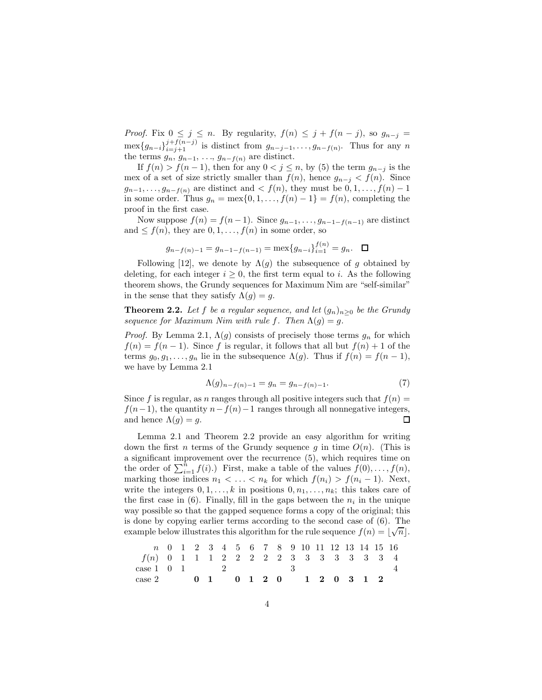*Proof.* Fix  $0 \leq j \leq n$ . By regularity,  $f(n) \leq j + f(n-j)$ , so  $g_{n-j}$  $\max\{g_{n-i}\}_{i=j+1}^{j+f(n-j)}$  is distinct from  $g_{n-j-1},\ldots,g_{n-f(n)}$ . Thus for any n the terms  $g_n$ ,  $g_{n-1}$ , ...,  $g_{n-f(n)}$  are distinct.

If  $f(n) > f(n-1)$ , then for any  $0 < j \leq n$ , by (5) the term  $g_{n-j}$  is the mex of a set of size strictly smaller than  $f(n)$ , hence  $g_{n-j} < f(n)$ . Since  $g_{n-1}, \ldots, g_{n-f(n)}$  are distinct and  $\lt f(n)$ , they must be  $0, 1, \ldots, f(n)-1$ in some order. Thus  $g_n = \max\{0, 1, \ldots, f(n) - 1\} = f(n)$ , completing the proof in the first case.

Now suppose  $f(n) = f(n-1)$ . Since  $g_{n-1}, \ldots, g_{n-1-f(n-1)}$  are distinct and  $\leq f(n)$ , they are  $0, 1, \ldots, f(n)$  in some order, so

$$
g_{n-f(n)-1} = g_{n-1-f(n-1)} = \max\{g_{n-i}\}_{i=1}^{f(n)} = g_n. \quad \Box
$$

Following [12], we denote by  $\Lambda(q)$  the subsequence of q obtained by deleting, for each integer  $i \geq 0$ , the first term equal to i. As the following theorem shows, the Grundy sequences for Maximum Nim are "self-similar" in the sense that they satisfy  $\Lambda(g) = g$ .

**Theorem 2.2.** Let f be a regular sequence, and let  $(g_n)_{n\geq 0}$  be the Grundy sequence for Maximum Nim with rule f. Then  $\Lambda(g) = g$ .

*Proof.* By Lemma 2.1,  $\Lambda(g)$  consists of precisely those terms  $g_n$  for which  $f(n) = f(n-1)$ . Since f is regular, it follows that all but  $f(n) + 1$  of the terms  $g_0, g_1, \ldots, g_n$  lie in the subsequence  $\Lambda(g)$ . Thus if  $f(n) = f(n-1)$ , we have by Lemma 2.1

$$
\Lambda(g)_{n-f(n)-1} = g_n = g_{n-f(n)-1}.\tag{7}
$$

Since f is regular, as n ranges through all positive integers such that  $f(n) =$  $f(n-1)$ , the quantity  $n-f(n)-1$  ranges through all nonnegative integers, and hence  $\Lambda(a) = a$ . and hence  $\Lambda(q) = q$ .

Lemma 2.1 and Theorem 2.2 provide an easy algorithm for writing down the first *n* terms of the Grundy sequence g in time  $O(n)$ . (This is a significant improvement over the recurrence (5), which requires time on the order of  $\sum_{i=1}^{n} f(i)$ .) First, make a table of the values  $f(0), \ldots, f(n)$ , marking those indices  $n_1 < \ldots < n_k$  for which  $f(n_i) > f(n_i - 1)$ . Next, write the integers  $0, 1, \ldots, k$  in positions  $0, n_1, \ldots, n_k$ ; this takes care of the first case in  $(6)$ . Finally, fill in the gaps between the  $n_i$  in the unique way possible so that the gapped sequence forms a copy of the original; this is done by copying earlier terms according to the second case of (6). The example below illustrates this algorithm for the rule sequence  $f(n) = \lfloor \sqrt{n} \rfloor$ .

|                                        |  |  |  |  |  |  |  | n 0 1 2 3 4 5 6 7 8 9 10 11 12 13 14 15 16 |  |
|----------------------------------------|--|--|--|--|--|--|--|--------------------------------------------|--|
| f(n) 0 1 1 1 2 2 2 2 2 3 3 3 3 3 3 3 4 |  |  |  |  |  |  |  |                                            |  |
| case 1 0 1 2 3                         |  |  |  |  |  |  |  |                                            |  |
| $\case~2$ 0 1 0 1 2 0 1 2 0 3 1 2      |  |  |  |  |  |  |  |                                            |  |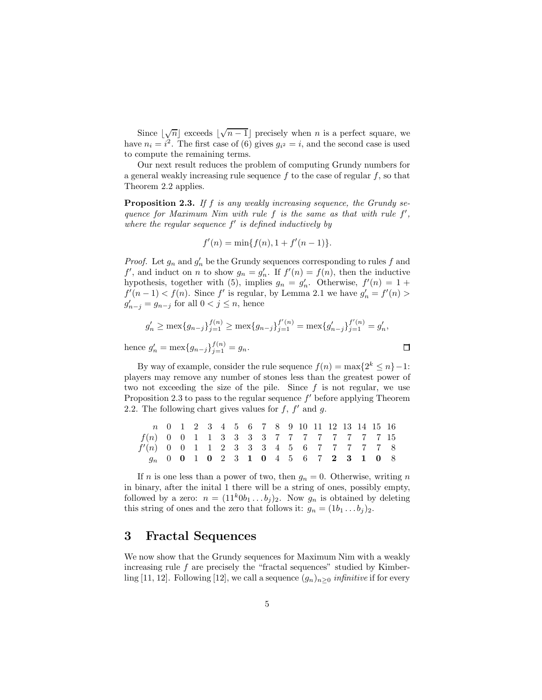Since  $\lfloor \sqrt{n} \rfloor$  exceeds  $\lfloor \sqrt{n-1} \rfloor$  precisely when n is a perfect square, we have  $n_i = i^2$ . The first case of (6) gives  $g_{i^2} = i$ , and the second case is used to compute the remaining terms.

Our next result reduces the problem of computing Grundy numbers for a general weakly increasing rule sequence  $f$  to the case of regular  $f$ , so that Theorem 2.2 applies.

**Proposition 2.3.** If  $f$  is any weakly increasing sequence, the Grundy sequence for Maximum Nim with rule  $f$  is the same as that with rule  $f'$ , where the regular sequence  $f'$  is defined inductively by

$$
f'(n) = \min\{f(n), 1 + f'(n-1)\}.
$$

*Proof.* Let  $g_n$  and  $g'_n$  be the Grundy sequences corresponding to rules f and  $f'$ , and induct on n to show  $g_n = g'_n$ . If  $f'(n) = f(n)$ , then the inductive hypothesis, together with (5), implies  $g_n = g'_n$ . Otherwise,  $f'(n) = 1 +$  $f'(n-1) < f(n)$ . Since  $f'$  is regular, by Lemma 2.1 we have  $g'_n = f'(n)$  $g'_{n-j} = g_{n-j}$  for all  $0 < j \leq n$ , hence

$$
g'_n \ge \max\{g_{n-j}\}_{j=1}^{f(n)} \ge \max\{g_{n-j}\}_{j=1}^{f'(n)} = \max\{g'_{n-j}\}_{j=1}^{f'(n)} = g'_n,
$$
  
hence  $g'_n = \max\{g_{n-j}\}_{j=1}^{f(n)} = g_n.$ 

By way of example, consider the rule sequence  $f(n) = \max\{2^k \le n\} - 1$ : players may remove any number of stones less than the greatest power of two not exceeding the size of the pile. Since  $f$  is not regular, we use Proposition 2.3 to pass to the regular sequence  $f'$  before applying Theorem 2.2. The following chart gives values for  $f, f'$  and  $g$ .

|                                           |  |  |  |  |  |  | n 0 1 2 3 4 5 6 7 8 9 10 11 12 13 14 15 16 |  |  |
|-------------------------------------------|--|--|--|--|--|--|--------------------------------------------|--|--|
| f(n) 0 0 1 1 3 3 3 3 7 7 7 7 7 7 7 7 15   |  |  |  |  |  |  |                                            |  |  |
| $f'(n)$ 0 0 1 1 2 3 3 3 4 5 6 7 7 7 7 7 8 |  |  |  |  |  |  |                                            |  |  |
| $g_n$ 0 0 1 0 2 3 1 0 4 5 6 7 2 3 1 0 8   |  |  |  |  |  |  |                                            |  |  |

If n is one less than a power of two, then  $g_n = 0$ . Otherwise, writing n in binary, after the inital 1 there will be a string of ones, possibly empty, followed by a zero:  $n = (11^k0b_1 \ldots b_i)_2$ . Now  $g_n$  is obtained by deleting this string of ones and the zero that follows it:  $g_n = (1b_1 \dots b_j)_2$ .

### 3 Fractal Sequences

We now show that the Grundy sequences for Maximum Nim with a weakly increasing rule  $f$  are precisely the "fractal sequences" studied by Kimberling [11, 12]. Following [12], we call a sequence  $(g_n)_{n\geq 0}$  infinitive if for every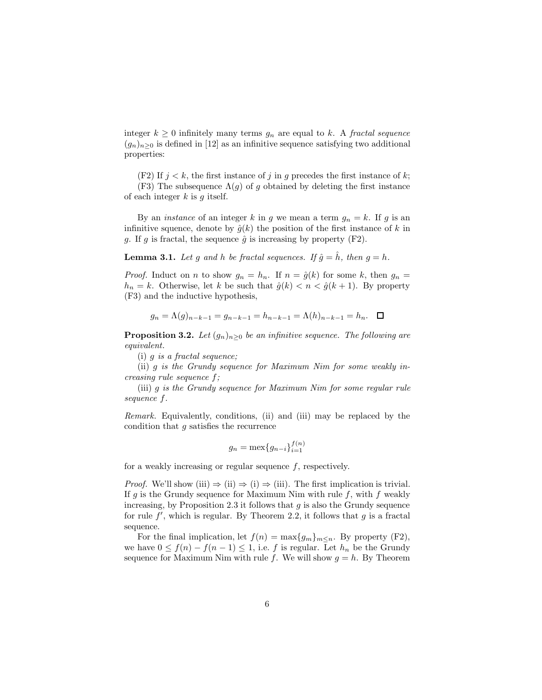integer  $k \geq 0$  infinitely many terms  $g_n$  are equal to k. A fractal sequence  $(g_n)_{n>0}$  is defined in [12] as an infinitive sequence satisfying two additional properties:

(F2) If  $j < k$ , the first instance of j in g precedes the first instance of k;

(F3) The subsequence  $\Lambda(q)$  of q obtained by deleting the first instance of each integer  $k$  is  $q$  itself.

By an *instance* of an integer k in g we mean a term  $g_n = k$ . If g is an infinitive squence, denote by  $\hat{g}(k)$  the position of the first instance of k in g. If g is fractal, the sequence  $\hat{g}$  is increasing by property (F2).

**Lemma 3.1.** Let g and h be fractal sequences. If  $\hat{g} = \hat{h}$ , then  $g = h$ .

*Proof.* Induct on n to show  $g_n = h_n$ . If  $n = \hat{g}(k)$  for some k, then  $g_n =$  $h_n = k$ . Otherwise, let k be such that  $\hat{g}(k) < n < \hat{g}(k+1)$ . By property (F3) and the inductive hypothesis,

$$
g_n = \Lambda(g)_{n-k-1} = g_{n-k-1} = h_{n-k-1} = \Lambda(h)_{n-k-1} = h_n. \quad \Box
$$

**Proposition 3.2.** Let  $(g_n)_{n\geq 0}$  be an infinitive sequence. The following are equivalent.

(i)  $q$  is a fractal sequence:

(ii) g is the Grundy sequence for Maximum Nim for some weakly increasing rule sequence f;

(iii) g is the Grundy sequence for Maximum Nim for some regular rule sequence f.

Remark. Equivalently, conditions, (ii) and (iii) may be replaced by the condition that g satisfies the recurrence

$$
g_n = \max\{g_{n-i}\}_{i=1}^{f(n)}
$$

for a weakly increasing or regular sequence  $f$ , respectively.

*Proof.* We'll show (iii)  $\Rightarrow$  (ii)  $\Rightarrow$  (i)  $\Rightarrow$  (iii). The first implication is trivial. If g is the Grundy sequence for Maximum Nim with rule f, with f weakly increasing, by Proposition 2.3 it follows that  $q$  is also the Grundy sequence for rule  $f'$ , which is regular. By Theorem 2.2, it follows that  $g$  is a fractal sequence.

For the final implication, let  $f(n) = \max\{g_m\}_{m \leq n}$ . By property (F2), we have  $0 \le f(n) - f(n-1) \le 1$ , i.e. f is regular. Let  $h_n$  be the Grundy sequence for Maximum Nim with rule f. We will show  $g = h$ . By Theorem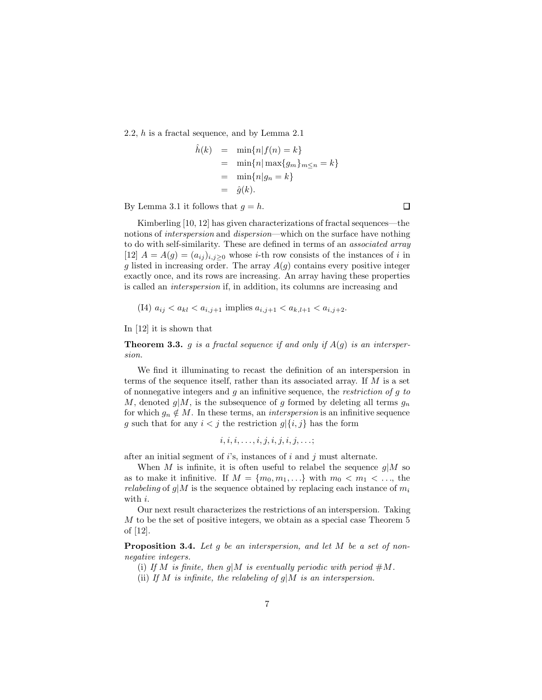2.2, h is a fractal sequence, and by Lemma 2.1

$$
\hat{h}(k) = \min\{n|f(n) = k\}
$$
  
= 
$$
\min\{n|\max\{g_m\}_{m \le n} = k\}
$$
  
= 
$$
\min\{n|g_n = k\}
$$
  
= 
$$
\hat{g}(k).
$$

By Lemma 3.1 it follows that  $g = h$ .

Kimberling [10, 12] has given characterizations of fractal sequences—the notions of interspersion and dispersion—which on the surface have nothing to do with self-similarity. These are defined in terms of an associated array [12]  $A = A(g) = (a_{ij})_{i,j>0}$  whose *i*-th row consists of the instances of *i* in g listed in increasing order. The array  $A(g)$  contains every positive integer exactly once, and its rows are increasing. An array having these properties is called an interspersion if, in addition, its columns are increasing and

(14) 
$$
a_{ij} < a_{kl} < a_{i,j+1}
$$
 implies  $a_{i,j+1} < a_{k,l+1} < a_{i,j+2}$ .

In [12] it is shown that

**Theorem 3.3.** g is a fractal sequence if and only if  $A(g)$  is an interspersion.

We find it illuminating to recast the definition of an interspersion in terms of the sequence itself, rather than its associated array. If M is a set of nonnegative integers and  $g$  an infinitive sequence, the *restriction of g to* M, denoted  $g|M$ , is the subsequence of g formed by deleting all terms  $g_n$ for which  $g_n \notin M$ . In these terms, an *interspersion* is an infinitive sequence g such that for any  $i < j$  the restriction  $g \setminus \{i, j\}$  has the form

$$
i, i, i, \ldots, i, j, i, j, i, j, \ldots;
$$

after an initial segment of  $i$ 's, instances of  $i$  and  $j$  must alternate.

When M is infinite, it is often useful to relabel the sequence  $g|M$  so as to make it infinitive. If  $M = \{m_0, m_1, \ldots\}$  with  $m_0 < m_1 < \ldots$ , the *relabeling* of  $g/M$  is the sequence obtained by replacing each instance of  $m_i$ with i.

Our next result characterizes the restrictions of an interspersion. Taking M to be the set of positive integers, we obtain as a special case Theorem 5 of [12].

Proposition 3.4. Let q be an interspersion, and let M be a set of nonnegative integers.

(i) If M is finite, then  $g/M$  is eventually periodic with period  $\#M$ .

(ii) If M is infinite, the relabeling of  $g/M$  is an interspersion.

 $\Box$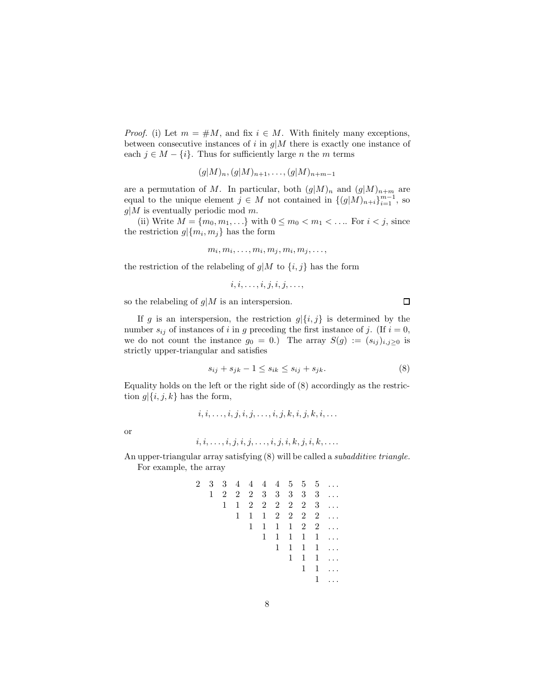*Proof.* (i) Let  $m = \#M$ , and fix  $i \in M$ . With finitely many exceptions, between consecutive instances of i in  $g/M$  there is exactly one instance of each  $j \in M - \{i\}$ . Thus for sufficiently large *n* the *m* terms

$$
(g|M)_n, (g|M)_{n+1}, \ldots, (g|M)_{n+m-1}
$$

are a permutation of M. In particular, both  $(g|M)_n$  and  $(g|M)_{n+m}$  are equal to the unique element  $j \in M$  not contained in  $\{(g|M)_{n+i}\}_{i=1}^{m-1}$ , so  $g|M$  is eventually periodic mod m.

(ii) Write  $M = \{m_0, m_1, ...\}$  with  $0 \le m_0 < m_1 < ...$  For  $i < j$ , since the restriction  $g | \{m_i, m_j\}$  has the form

$$
m_i, m_i, \ldots, m_i, m_j, m_i, m_j, \ldots,
$$

the restriction of the relabeling of  $g|M$  to  $\{i, j\}$  has the form

$$
i, i, \ldots, i, j, i, j, \ldots,
$$

so the relabeling of  $g/M$  is an interspersion.

If g is an interspersion, the restriction  $g | \{i, j\}$  is determined by the number  $s_{ij}$  of instances of i in g preceding the first instance of j. (If  $i = 0$ , we do not count the instance  $g_0 = 0$ .) The array  $S(g) := (s_{ij})_{i,j\geq 0}$  is strictly upper-triangular and satisfies

$$
s_{ij} + s_{jk} - 1 \le s_{ik} \le s_{ij} + s_{jk}.\tag{8}
$$

 $\Box$ 

Equality holds on the left or the right side of (8) accordingly as the restriction  $g \leq i, j, k$  has the form,

 $i, i, \ldots, i, j, i, j, \ldots, i, j, k, i, j, k, i, \ldots$ 

or

$$
i,i,\ldots,i,j,i,j,\ldots,i,j,i,k,j,i,k,\ldots.
$$

An upper-triangular array satisfying (8) will be called a subadditive triangle. For example, the array

| $2^{-}$ |              |             |   |              |              |              |              |              |   | 3 3 4 4 4 4 5 5 5                  |
|---------|--------------|-------------|---|--------------|--------------|--------------|--------------|--------------|---|------------------------------------|
|         | $\mathbf{1}$ | $2^{\circ}$ |   |              |              |              |              |              |   | $2 \t2 \t3 \t3 \t3 \t3 \t3 \t3 \t$ |
|         |              | 1           | 1 |              |              |              |              |              |   | $2 \t2 \t2 \t2 \t2 \t3 \t$         |
|         |              |             | 1 | $\mathbf{1}$ |              |              |              |              |   | $1 \t2 \t2 \t2 \t2 \t$             |
|         |              |             |   | 1            | $\mathbf{1}$ | $\mathbf{1}$ |              |              |   | $1 \quad 2 \quad 2 \quad \ldots$   |
|         |              |             |   |              | $\mathbf{1}$ | $\mathbf{1}$ | $\mathbf{1}$ | $\mathbf{1}$ |   | $1 \ldots$                         |
|         |              |             |   |              |              | $\mathbf{1}$ | $\mathbf{1}$ | $\mathbf{1}$ |   | $1 \ldots$                         |
|         |              |             |   |              |              |              | 1            | $\mathbf{1}$ | 1 | $\dddotsc$                         |
|         |              |             |   |              |              |              |              | $\mathbf 1$  | 1 | $\ldots$                           |
|         |              |             |   |              |              |              |              |              |   | $\ddot{\phantom{0}}$               |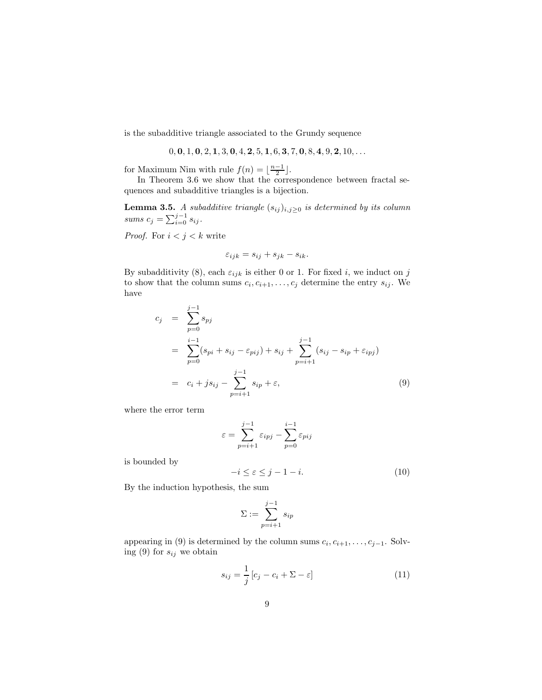is the subadditive triangle associated to the Grundy sequence

 $0, 0, 1, 0, 2, 1, 3, 0, 4, 2, 5, 1, 6, 3, 7, 0, 8, 4, 9, 2, 10, \ldots$ 

for Maximum Nim with rule  $f(n) = \lfloor \frac{n-1}{2} \rfloor$ .

In Theorem 3.6 we show that the correspondence between fractal sequences and subadditive triangles is a bijection.

**Lemma 3.5.** A subadditive triangle  $(s_{ij})_{i,j\geq0}$  is determined by its column sums  $c_j = \sum_{i=0}^{j-1} s_{ij}$ .

*Proof.* For  $i < j < k$  write

$$
\varepsilon_{ijk}=s_{ij}+s_{jk}-s_{ik}.
$$

By subadditivity (8), each  $\varepsilon_{ijk}$  is either 0 or 1. For fixed i, we induct on j to show that the column sums  $c_i, c_{i+1}, \ldots, c_j$  determine the entry  $s_{ij}$ . We have

$$
c_j = \sum_{p=0}^{j-1} s_{pj}
$$
  
= 
$$
\sum_{p=0}^{i-1} (s_{pi} + s_{ij} - \varepsilon_{pij}) + s_{ij} + \sum_{p=i+1}^{j-1} (s_{ij} - s_{ip} + \varepsilon_{ipj})
$$
  
= 
$$
c_i + j s_{ij} - \sum_{p=i+1}^{j-1} s_{ip} + \varepsilon,
$$
 (9)

where the error term

$$
\varepsilon = \sum_{p=i+1}^{j-1} \varepsilon_{ipj} - \sum_{p=0}^{i-1} \varepsilon_{pij}
$$

is bounded by

$$
-i \le \varepsilon \le j - 1 - i. \tag{10}
$$

By the induction hypothesis, the sum

$$
\Sigma := \sum_{p=i+1}^{j-1} s_{ip}
$$

appearing in (9) is determined by the column sums  $c_i, c_{i+1}, \ldots, c_{j-1}$ . Solving (9) for  $s_{ij}$  we obtain

$$
s_{ij} = \frac{1}{j} [c_j - c_i + \Sigma - \varepsilon]
$$
 (11)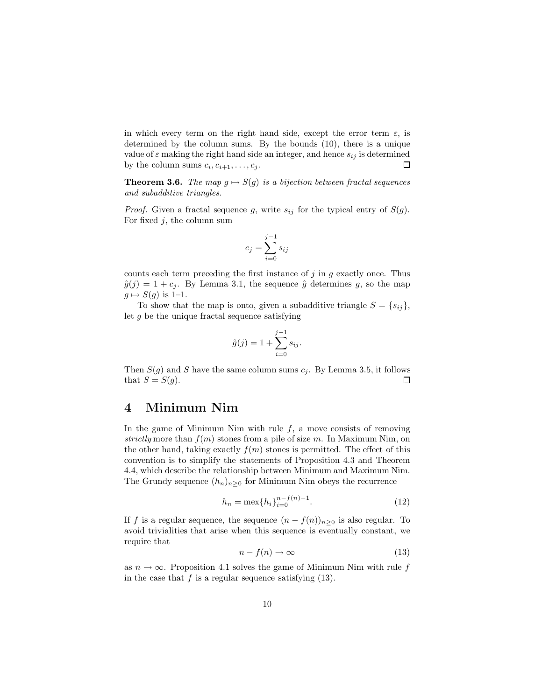in which every term on the right hand side, except the error term  $\varepsilon$ , is determined by the column sums. By the bounds (10), there is a unique value of  $\varepsilon$  making the right hand side an integer, and hence  $s_{ij}$  is determined by the column sums  $c_i, c_{i+1}, \ldots, c_j$ .  $\Box$ 

**Theorem 3.6.** The map  $g \mapsto S(g)$  is a bijection between fractal sequences and subadditive triangles.

*Proof.* Given a fractal sequence g, write  $s_{ij}$  for the typical entry of  $S(g)$ . For fixed  $j$ , the column sum

$$
c_j = \sum_{i=0}^{j-1} s_{ij}
$$

counts each term preceding the first instance of  $j$  in  $g$  exactly once. Thus  $\hat{g}(j) = 1 + c_j$ . By Lemma 3.1, the sequence  $\hat{g}$  determines g, so the map  $g \mapsto S(g)$  is 1–1.

To show that the map is onto, given a subadditive triangle  $S = \{s_{ij}\},\$ let  $g$  be the unique fractal sequence satisfying

$$
\hat{g}(j) = 1 + \sum_{i=0}^{j-1} s_{ij}.
$$

Then  $S(g)$  and S have the same column sums  $c_j$ . By Lemma 3.5, it follows that  $S = S(g)$ . 口

# 4 Minimum Nim

In the game of Minimum Nim with rule  $f$ , a move consists of removing strictly more than  $f(m)$  stones from a pile of size m. In Maximum Nim, on the other hand, taking exactly  $f(m)$  stones is permitted. The effect of this convention is to simplify the statements of Proposition 4.3 and Theorem 4.4, which describe the relationship between Minimum and Maximum Nim. The Grundy sequence  $(h_n)_{n>0}$  for Minimum Nim obeys the recurrence

$$
h_n = \max\{h_i\}_{i=0}^{n-f(n)-1}.\tag{12}
$$

If f is a regular sequence, the sequence  $(n - f(n))_{n>0}$  is also regular. To avoid trivialities that arise when this sequence is eventually constant, we require that

$$
n - f(n) \to \infty \tag{13}
$$

as  $n \to \infty$ . Proposition 4.1 solves the game of Minimum Nim with rule f in the case that  $f$  is a regular sequence satisfying (13).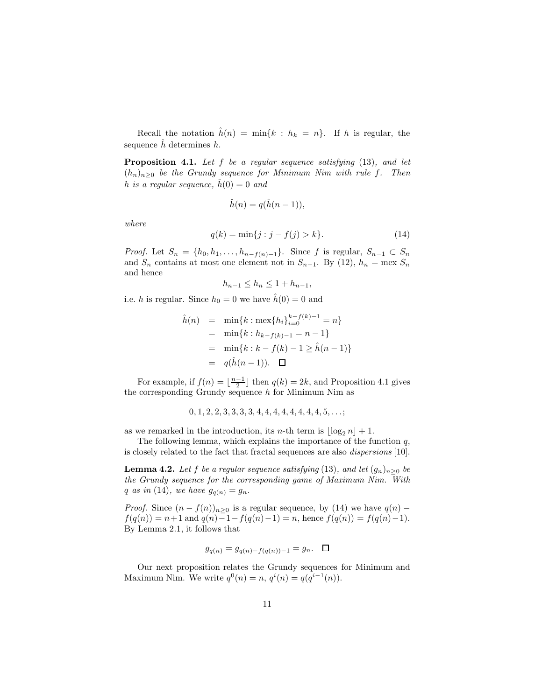Recall the notation  $\hat{h}(n) = \min\{k : h_k = n\}$ . If h is regular, the sequence  $\hat{h}$  determines  $h$ .

**Proposition 4.1.** Let  $f$  be a regular sequence satisfying  $(13)$ , and let  $(h_n)_{n>0}$  be the Grundy sequence for Minimum Nim with rule f. Then h is a regular sequence,  $\hat{h}(0) = 0$  and

$$
\hat{h}(n) = q(\hat{h}(n-1)),
$$

where

$$
q(k) = \min\{j : j - f(j) > k\}.
$$
 (14)

*Proof.* Let  $S_n = \{h_0, h_1, \ldots, h_{n-f(n)-1}\}\$ . Since f is regular,  $S_{n-1} \subset S_n$ and  $S_n$  contains at most one element not in  $S_{n-1}$ . By (12),  $h_n = \text{max } S_n$ and hence

$$
h_{n-1} \le h_n \le 1 + h_{n-1},
$$

i.e. h is regular. Since  $h_0 = 0$  we have  $\hat{h}(0) = 0$  and

$$
\hat{h}(n) = \min\{k : \max\{h_i\}_{i=0}^{k-f(k)-1} = n\}
$$
\n
$$
= \min\{k : h_{k-f(k)-1} = n - 1\}
$$
\n
$$
= \min\{k : k - f(k) - 1 \ge \hat{h}(n - 1)\}
$$
\n
$$
= q(\hat{h}(n - 1)). \quad \Box
$$

For example, if  $f(n) = \lfloor \frac{n-1}{2} \rfloor$  then  $q(k) = 2k$ , and Proposition 4.1 gives the corresponding Grundy sequence  $h$  for Minimum Nim as

$$
0, 1, 2, 2, 3, 3, 3, 3, 4, 4, 4, 4, 4, 4, 4, 4, 5, \ldots;
$$

as we remarked in the introduction, its n-th term is  $|\log_2 n| + 1$ .

The following lemma, which explains the importance of the function  $q$ , is closely related to the fact that fractal sequences are also dispersions [10].

**Lemma 4.2.** Let f be a regular sequence satisfying (13), and let  $(g_n)_{n>0}$  be the Grundy sequence for the corresponding game of Maximum Nim. With q as in (14), we have  $g_{q(n)} = g_n$ .

*Proof.* Since  $(n - f(n))_{n \geq 0}$  is a regular sequence, by (14) we have  $q(n)$  –  $f(q(n)) = n+1$  and  $q(n)-1-f(q(n)-1) = n$ , hence  $f(q(n)) = f(q(n)-1)$ . By Lemma 2.1, it follows that

$$
g_{q(n)} = g_{q(n)-f(q(n))-1} = g_n. \quad \Box
$$

Our next proposition relates the Grundy sequences for Minimum and Maximum Nim. We write  $q^{0}(n) = n, q^{i}(n) = q(q^{i-1}(n)).$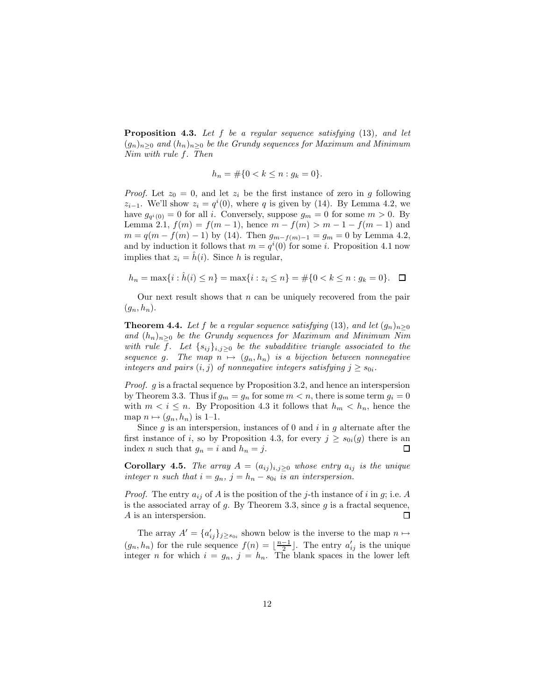**Proposition 4.3.** Let f be a regular sequence satisfying  $(13)$ , and let  $(g_n)_{n>0}$  and  $(h_n)_{n>0}$  be the Grundy sequences for Maximum and Minimum Nim with rule f. Then

$$
h_n = \#\{0 < k \le n : g_k = 0\}.
$$

*Proof.* Let  $z_0 = 0$ , and let  $z_i$  be the first instance of zero in g following  $z_{i-1}$ . We'll show  $z_i = q^i(0)$ , where q is given by (14). By Lemma 4.2, we have  $g_{q(i)} = 0$  for all i. Conversely, suppose  $g_m = 0$  for some  $m > 0$ . By Lemma 2.1,  $f(m) = f(m-1)$ , hence  $m - f(m) > m - 1 - f(m-1)$  and  $m = q(m - f(m) - 1)$  by (14). Then  $g_{m-f(m)-1} = g_m = 0$  by Lemma 4.2, and by induction it follows that  $m = q^{i}(0)$  for some *i*. Proposition 4.1 now implies that  $z_i = \hat{h}(i)$ . Since h is regular,

$$
h_n = \max\{i : \hat{h}(i) \le n\} = \max\{i : z_i \le n\} = \#\{0 < k \le n : g_k = 0\}.\quad \Box
$$

Our next result shows that  $n$  can be uniquely recovered from the pair  $(q_n, h_n)$ .

**Theorem 4.4.** Let f be a regular sequence satisfying (13), and let  $(g_n)_{n\geq 0}$ and  $(h_n)_{n>0}$  be the Grundy sequences for Maximum and Minimum Nim with rule f. Let  $\{s_{ij}\}_{i,j\geq 0}$  be the subadditive triangle associated to the sequence g. The map  $n \mapsto (g_n, h_n)$  is a bijection between nonnegative integers and pairs  $(i, j)$  of nonnegative integers satisfying  $j \geq s_{0i}$ .

Proof. g is a fractal sequence by Proposition 3.2, and hence an interspersion by Theorem 3.3. Thus if  $g_m = g_n$  for some  $m < n$ , there is some term  $g_i = 0$ with  $m < i \leq n$ . By Proposition 4.3 it follows that  $h_m < h_n$ , hence the map  $n \mapsto (g_n, h_n)$  is 1–1.

Since g is an interspersion, instances of 0 and i in g alternate after the first instance of *i*, so by Proposition 4.3, for every  $j \ge s_{0i}(g)$  there is an index *n* such that  $a_n = i$  and  $h_n = j$ . index *n* such that  $g_n = i$  and  $h_n = j$ .

**Corollary 4.5.** The array  $A = (a_{ij})_{i,j \geq 0}$  whose entry  $a_{ij}$  is the unique integer n such that  $i = g_n$ ,  $j = h_n - s_{0i}$  is an interspersion.

*Proof.* The entry  $a_{ij}$  of A is the position of the j-th instance of i in g; i.e. A is the associated array of  $g$ . By Theorem 3.3, since  $g$  is a fractal sequence, A is an interspersion. 囗

The array  $A' = \{a'_{ij}\}_{j \geq s_{0i}}$  shown below is the inverse to the map  $n \mapsto$  $(g_n, h_n)$  for the rule sequence  $f(n) = \lfloor \frac{n-1}{2} \rfloor$ . The entry  $a'_{ij}$  is the unique integer *n* for which  $i = g_n$ ,  $j = h_n$ . The blank spaces in the lower left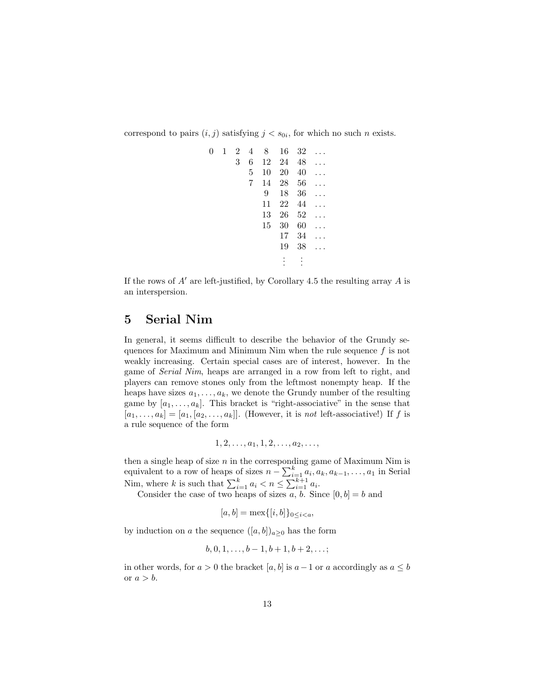correspond to pairs  $(i, j)$  satisfying  $j < s_{0i}$ , for which no such n exists.

| 0 | $\mathbf{1}$ | $\overline{2}$ | 4 | 8  | 16 | 32 |  |
|---|--------------|----------------|---|----|----|----|--|
|   |              | 3              | 6 | 12 | 24 | 48 |  |
|   |              |                | 5 | 10 | 20 | 40 |  |
|   |              |                | 7 | 14 | 28 | 56 |  |
|   |              |                |   | 9  | 18 | 36 |  |
|   |              |                |   | 11 | 22 | 44 |  |
|   |              |                |   | 13 | 26 | 52 |  |
|   |              |                |   | 15 | 30 | 60 |  |
|   |              |                |   |    | 17 | 34 |  |
|   |              |                |   |    | 19 | 38 |  |
|   |              |                |   |    |    |    |  |
|   |              |                |   |    |    |    |  |

If the rows of  $A'$  are left-justified, by Corollary 4.5 the resulting array  $A$  is an interspersion.

### 5 Serial Nim

In general, it seems difficult to describe the behavior of the Grundy sequences for Maximum and Minimum Nim when the rule sequence  $f$  is not weakly increasing. Certain special cases are of interest, however. In the game of Serial Nim, heaps are arranged in a row from left to right, and players can remove stones only from the leftmost nonempty heap. If the heaps have sizes  $a_1, \ldots, a_k$ , we denote the Grundy number of the resulting game by  $[a_1, \ldots, a_k]$ . This bracket is "right-associative" in the sense that  $[a_1, \ldots, a_k] = [a_1, [a_2, \ldots, a_k]]$ . (However, it is not left-associative!) If f is a rule sequence of the form

$$
1, 2, \ldots, a_1, 1, 2, \ldots, a_2, \ldots,
$$

then a single heap of size  $n$  in the corresponding game of Maximum Nim is equivalent to a row of heaps of sizes  $n - \sum_{i=1}^{k} a_i, a_k, a_{k-1}, \ldots, a_1$  in Serial Nim, where k is such that  $\sum_{i=1}^{k} a_i < n \leq \sum_{i=1}^{k+1} a_i$ .

Consider the case of two heaps of sizes  $a, b$ . Since  $[0, b] = b$  and

$$
[a,b] = \max\{[i,b]\}_{0 \le i < a},
$$

by induction on a the sequence  $([a, b])_{a>0}$  has the form

$$
b, 0, 1, \ldots, b-1, b+1, b+2, \ldots;
$$

in other words, for  $a > 0$  the bracket  $[a, b]$  is  $a - 1$  or a accordingly as  $a \leq b$ or  $a > b$ .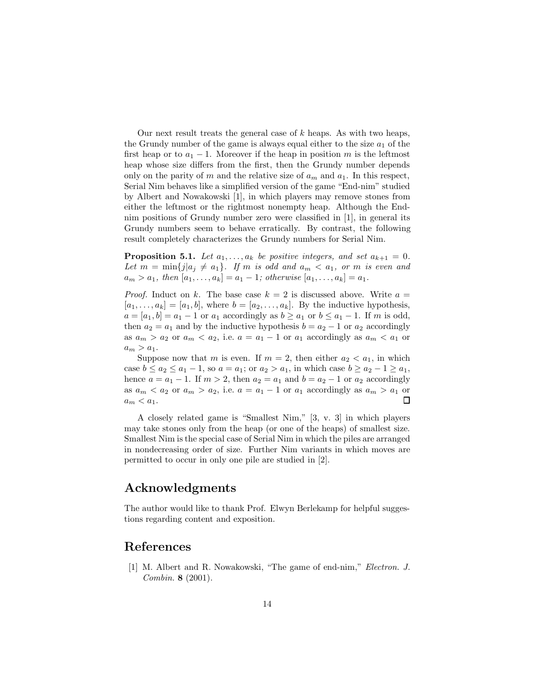Our next result treats the general case of  $k$  heaps. As with two heaps, the Grundy number of the game is always equal either to the size  $a_1$  of the first heap or to  $a_1 - 1$ . Moreover if the heap in position m is the leftmost heap whose size differs from the first, then the Grundy number depends only on the parity of m and the relative size of  $a_m$  and  $a_1$ . In this respect, Serial Nim behaves like a simplified version of the game "End-nim" studied by Albert and Nowakowski [1], in which players may remove stones from either the leftmost or the rightmost nonempty heap. Although the Endnim positions of Grundy number zero were classified in [1], in general its Grundy numbers seem to behave erratically. By contrast, the following result completely characterizes the Grundy numbers for Serial Nim.

**Proposition 5.1.** Let  $a_1, \ldots, a_k$  be positive integers, and set  $a_{k+1} = 0$ . Let  $m = \min\{j | a_j \neq a_1\}$ . If m is odd and  $a_m < a_1$ , or m is even and  $a_m > a_1$ , then  $[a_1, ..., a_k] = a_1 - 1$ ; otherwise  $[a_1, ..., a_k] = a_1$ .

*Proof.* Induct on k. The base case  $k = 2$  is discussed above. Write  $a =$  $[a_1, \ldots, a_k] = [a_1, b]$ , where  $b = [a_2, \ldots, a_k]$ . By the inductive hypothesis,  $a = [a_1, b] = a_1 - 1$  or  $a_1$  accordingly as  $b \ge a_1$  or  $b \le a_1 - 1$ . If m is odd, then  $a_2 = a_1$  and by the inductive hypothesis  $b = a_2 - 1$  or  $a_2$  accordingly as  $a_m > a_2$  or  $a_m < a_2$ , i.e.  $a = a_1 - 1$  or  $a_1$  accordingly as  $a_m < a_1$  or  $a_m > a_1$ .

Suppose now that m is even. If  $m = 2$ , then either  $a_2 < a_1$ , in which case  $b \le a_2 \le a_1 - 1$ , so  $a = a_1$ ; or  $a_2 > a_1$ , in which case  $b \ge a_2 - 1 \ge a_1$ , hence  $a = a_1 - 1$ . If  $m > 2$ , then  $a_2 = a_1$  and  $b = a_2 - 1$  or  $a_2$  accordingly as  $a_m < a_2$  or  $a_m > a_2$ , i.e.  $a = a_1 - 1$  or  $a_1$  accordingly as  $a_m > a_1$  or  $a_m < a_1$ .  $a_m < a_1$ .

A closely related game is "Smallest Nim," [3, v. 3] in which players may take stones only from the heap (or one of the heaps) of smallest size. Smallest Nim is the special case of Serial Nim in which the piles are arranged in nondecreasing order of size. Further Nim variants in which moves are permitted to occur in only one pile are studied in [2].

# Acknowledgments

The author would like to thank Prof. Elwyn Berlekamp for helpful suggestions regarding content and exposition.

### References

[1] M. Albert and R. Nowakowski, "The game of end-nim," Electron. J. Combin. 8 (2001).